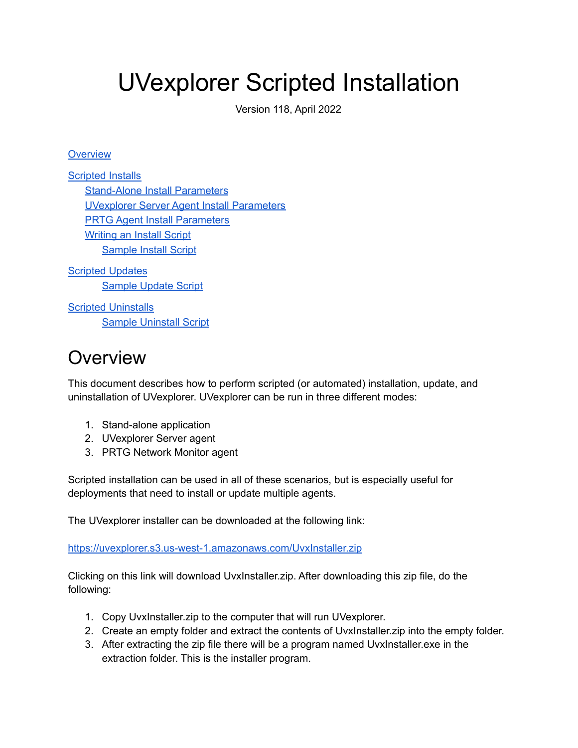# UVexplorer Scripted Installation

Version 118, April 2022

#### **[Overview](#page-0-0)**

[Scripted](#page-1-0) Installs [Stand-Alone](#page-1-1) Install Parameters UVexplorer Server Agent Install [Parameters](#page-2-0) PRTG Agent Install [Parameters](#page-3-0) [Writing](#page-4-0) an Install Script [Sample](#page-5-0) Install Script

Scripted [Updates](#page-5-1) [Sample](#page-5-2) Update Script

Scripted [Uninstalls](#page-6-0) **Sample [Uninstall](#page-6-1) Script** 

# <span id="page-0-0"></span>**Overview**

This document describes how to perform scripted (or automated) installation, update, and uninstallation of UVexplorer. UVexplorer can be run in three different modes:

- 1. Stand-alone application
- 2. UVexplorer Server agent
- 3. PRTG Network Monitor agent

Scripted installation can be used in all of these scenarios, but is especially useful for deployments that need to install or update multiple agents.

The UVexplorer installer can be downloaded at the following link:

[https://uvexplorer.s3.us-west-1.amazonaws.com/UvxInstaller.zip](https://uvexplorer.s3.us-west-1.amazonaws.com/UvxInstaller-2-0-118.zip)

Clicking on this link will download UvxInstaller.zip. After downloading this zip file, do the following:

- 1. Copy UvxInstaller.zip to the computer that will run UVexplorer.
- 2. Create an empty folder and extract the contents of UvxInstaller.zip into the empty folder.
- 3. After extracting the zip file there will be a program named UvxInstaller.exe in the extraction folder. This is the installer program.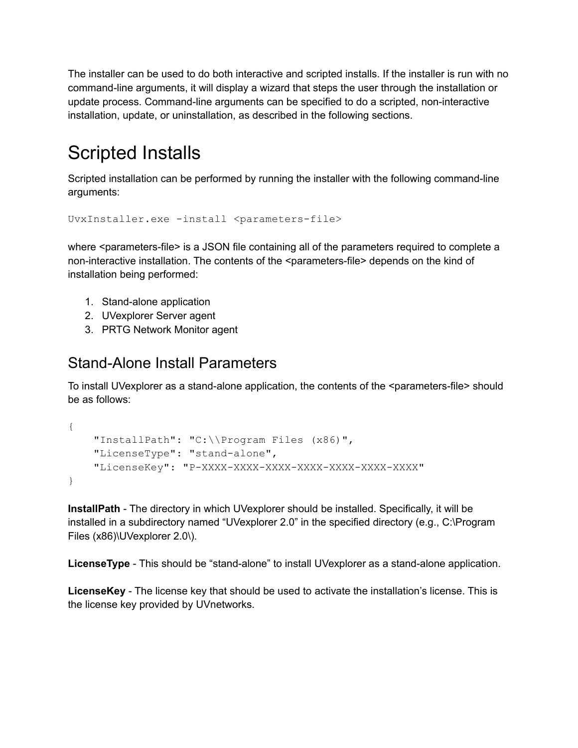The installer can be used to do both interactive and scripted installs. If the installer is run with no command-line arguments, it will display a wizard that steps the user through the installation or update process. Command-line arguments can be specified to do a scripted, non-interactive installation, update, or uninstallation, as described in the following sections.

# <span id="page-1-0"></span>Scripted Installs

Scripted installation can be performed by running the installer with the following command-line arguments:

```
UvxInstaller.exe -install <parameters-file>
```
where <parameters-file> is a JSON file containing all of the parameters required to complete a non-interactive installation. The contents of the <parameters-file> depends on the kind of installation being performed:

- 1. Stand-alone application
- 2. UVexplorer Server agent
- 3. PRTG Network Monitor agent

### <span id="page-1-1"></span>Stand-Alone Install Parameters

To install UVexplorer as a stand-alone application, the contents of the <parameters-file> should be as follows:

```
{
   "InstallPath": "C:\\Program Files (x86)",
    "LicenseType": "stand-alone",
   "LicenseKey": "P-XXXX-XXXX-XXXX-XXXX-XXXX-XXXX-XXXX"
}
```
**InstallPath** - The directory in which UVexplorer should be installed. Specifically, it will be installed in a subdirectory named "UVexplorer 2.0" in the specified directory (e.g., C:\Program Files (x86)\UVexplorer 2.0\).

**LicenseType** - This should be "stand-alone" to install UVexplorer as a stand-alone application.

**LicenseKey** - The license key that should be used to activate the installation's license. This is the license key provided by UVnetworks.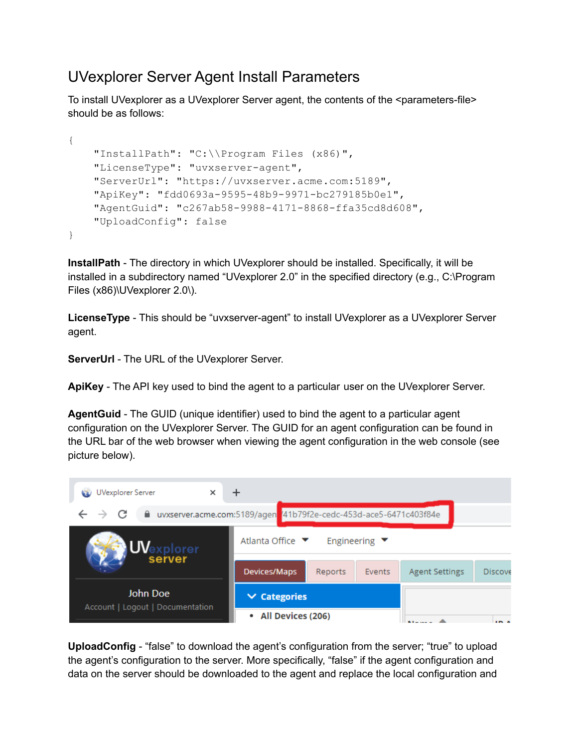### <span id="page-2-0"></span>UVexplorer Server Agent Install Parameters

To install UVexplorer as a UVexplorer Server agent, the contents of the <parameters-file> should be as follows:

```
{
   "InstallPath": "C:\\Program Files (x86)",
   "LicenseType": "uvxserver-agent",
   "ServerUrl": "https://uvxserver.acme.com:5189",
    "ApiKey": "fdd0693a-9595-48b9-9971-bc279185b0e1",
   "AgentGuid": "c267ab58-9988-4171-8868-ffa35cd8d608",
   "UploadConfig": false
}
```
**InstallPath** - The directory in which UVexplorer should be installed. Specifically, it will be installed in a subdirectory named "UVexplorer 2.0" in the specified directory (e.g., C:\Program Files (x86)\UVexplorer 2.0\).

**LicenseType** - This should be "uvxserver-agent" to install UVexplorer as a UVexplorer Server agent.

**ServerUrl** - The URL of the UVexplorer Server.

**ApiKey** - The API key used to bind the agent to a particular user on the UVexplorer Server.

**AgentGuid** - The GUID (unique identifier) used to bind the agent to a particular agent configuration on the UVexplorer Server. The GUID for an agent configuration can be found in the URL bar of the web browser when viewing the agent configuration in the web console (see picture below).



**UploadConfig** - "false" to download the agent's configuration from the server; "true" to upload the agent's configuration to the server. More specifically, "false" if the agent configuration and data on the server should be downloaded to the agent and replace the local configuration and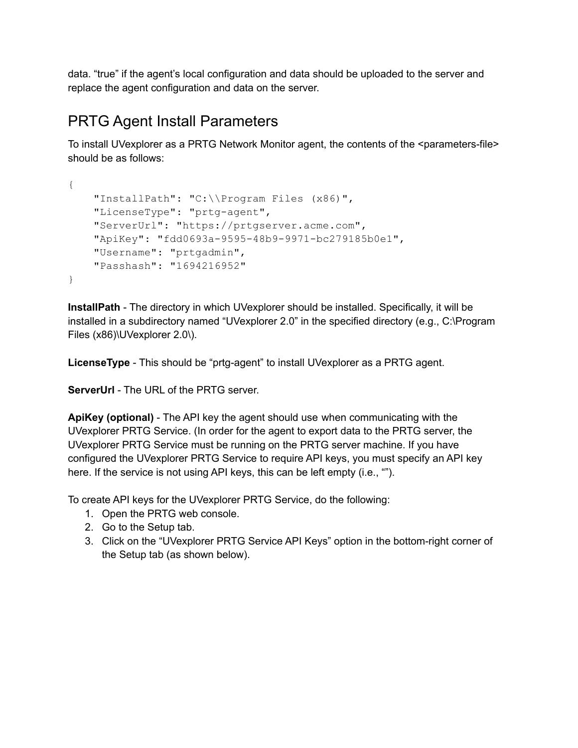data. "true" if the agent's local configuration and data should be uploaded to the server and replace the agent configuration and data on the server.

### <span id="page-3-0"></span>PRTG Agent Install Parameters

To install UVexplorer as a PRTG Network Monitor agent, the contents of the <parameters-file> should be as follows:

```
{
    "InstallPath": "C:\\Program Files (x86)",
    "LicenseType": "prtg-agent",
   "ServerUrl": "https://prtgserver.acme.com",
    "ApiKey": "fdd0693a-9595-48b9-9971-bc279185b0e1",
    "Username": "prtgadmin",
   "Passhash": "1694216952"
}
```
**InstallPath** - The directory in which UVexplorer should be installed. Specifically, it will be installed in a subdirectory named "UVexplorer 2.0" in the specified directory (e.g., C:\Program Files (x86)\UVexplorer 2.0\).

**LicenseType** - This should be "prtg-agent" to install UVexplorer as a PRTG agent.

**ServerUrl** - The URL of the PRTG server.

**ApiKey (optional)** - The API key the agent should use when communicating with the UVexplorer PRTG Service. (In order for the agent to export data to the PRTG server, the UVexplorer PRTG Service must be running on the PRTG server machine. If you have configured the UVexplorer PRTG Service to require API keys, you must specify an API key here. If the service is not using API keys, this can be left empty (i.e., "").

To create API keys for the UVexplorer PRTG Service, do the following:

- 1. Open the PRTG web console.
- 2. Go to the Setup tab.
- 3. Click on the "UVexplorer PRTG Service API Keys" option in the bottom-right corner of the Setup tab (as shown below).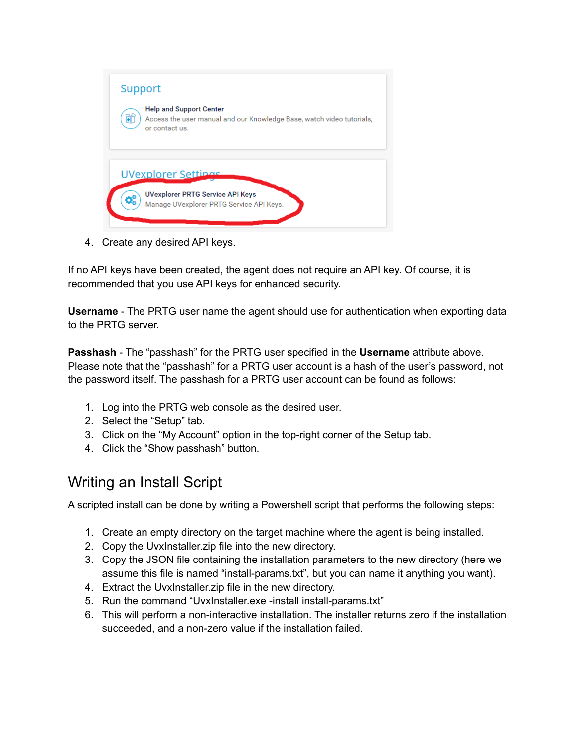

4. Create any desired API keys.

If no API keys have been created, the agent does not require an API key. Of course, it is recommended that you use API keys for enhanced security.

**Username** - The PRTG user name the agent should use for authentication when exporting data to the PRTG server.

**Passhash** - The "passhash" for the PRTG user specified in the **Username** attribute above. Please note that the "passhash" for a PRTG user account is a hash of the user's password, not the password itself. The passhash for a PRTG user account can be found as follows:

- 1. Log into the PRTG web console as the desired user.
- 2. Select the "Setup" tab.
- 3. Click on the "My Account" option in the top-right corner of the Setup tab.
- 4. Click the "Show passhash" button.

### <span id="page-4-0"></span>Writing an Install Script

A scripted install can be done by writing a Powershell script that performs the following steps:

- 1. Create an empty directory on the target machine where the agent is being installed.
- 2. Copy the UvxInstaller.zip file into the new directory.
- 3. Copy the JSON file containing the installation parameters to the new directory (here we assume this file is named "install-params.txt", but you can name it anything you want).
- 4. Extract the UvxInstaller.zip file in the new directory.
- 5. Run the command "UvxInstaller.exe -install install-params.txt"
- 6. This will perform a non-interactive installation. The installer returns zero if the installation succeeded, and a non-zero value if the installation failed.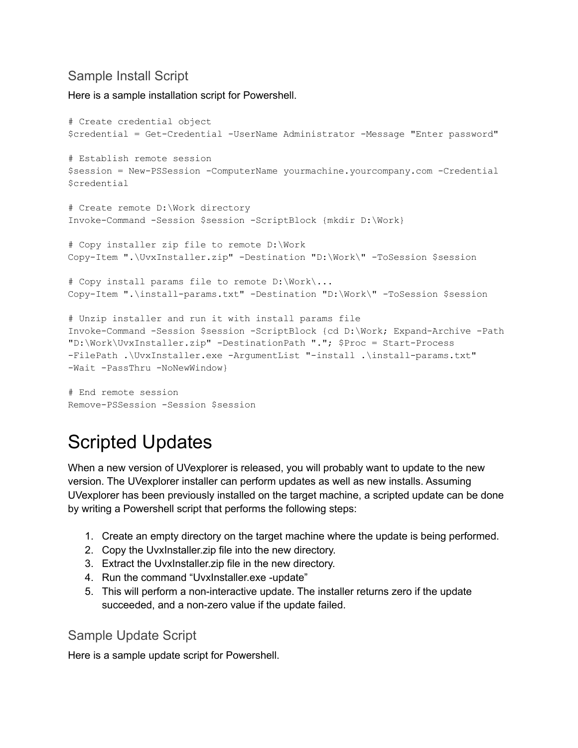#### <span id="page-5-0"></span>Sample Install Script

Here is a sample installation script for Powershell.

```
# Create credential object
$credential = Get-Credential -UserName Administrator -Message "Enter password"
# Establish remote session
$session = New-PSSession -ComputerName yourmachine.yourcompany.com -Credential
$credential
# Create remote D:\Work directory
Invoke-Command -Session $session -ScriptBlock {mkdir D:\Work}
# Copy installer zip file to remote D:\Work
Copy-Item ".\UvxInstaller.zip" -Destination "D:\Work\" -ToSession $session
# Copy install params file to remote D:\Work\...
Copy-Item ".\install-params.txt" -Destination "D:\Work\" -ToSession $session
# Unzip installer and run it with install params file
Invoke-Command -Session $session -ScriptBlock {cd D:\Work; Expand-Archive -Path
"D:\Work\UvxInstaller.zip" -DestinationPath "."; $Proc = Start-Process
-FilePath .\UvxInstaller.exe -ArgumentList "-install .\install-params.txt"
-Wait -PassThru -NoNewWindow}
# End remote session
```
<span id="page-5-1"></span>Remove-PSSession -Session \$session

# Scripted Updates

When a new version of UVexplorer is released, you will probably want to update to the new version. The UVexplorer installer can perform updates as well as new installs. Assuming UVexplorer has been previously installed on the target machine, a scripted update can be done by writing a Powershell script that performs the following steps:

- 1. Create an empty directory on the target machine where the update is being performed.
- 2. Copy the UvxInstaller.zip file into the new directory.
- 3. Extract the UvxInstaller.zip file in the new directory.
- 4. Run the command "UvxInstaller.exe -update"
- 5. This will perform a non-interactive update. The installer returns zero if the update succeeded, and a non-zero value if the update failed.

#### <span id="page-5-2"></span>Sample Update Script

Here is a sample update script for Powershell.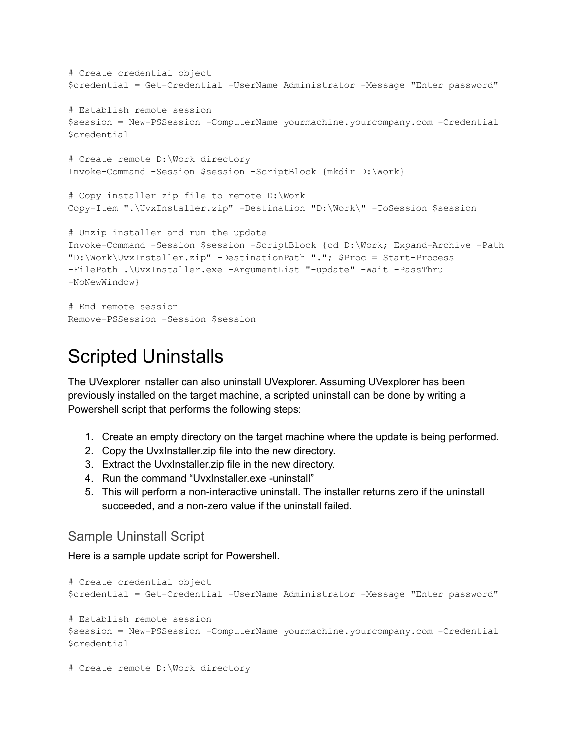```
# Create credential object
$credential = Get-Credential -UserName Administrator -Message "Enter password"
# Establish remote session
$session = New-PSSession -ComputerName yourmachine.yourcompany.com -Credential
$credential
# Create remote D:\Work directory
Invoke-Command -Session $session -ScriptBlock {mkdir D:\Work}
# Copy installer zip file to remote D:\Work
Copy-Item ".\UvxInstaller.zip" -Destination "D:\Work\" -ToSession $session
# Unzip installer and run the update
Invoke-Command -Session $session -ScriptBlock {cd D:\Work; Expand-Archive -Path
"D:\Work\UvxInstaller.zip" -DestinationPath "."; $Proc = Start-Process
-FilePath .\UvxInstaller.exe -ArgumentList "-update" -Wait -PassThru
-NoNewWindow}
# End remote session
Remove-PSSession -Session $session
```
# <span id="page-6-0"></span>Scripted Uninstalls

The UVexplorer installer can also uninstall UVexplorer. Assuming UVexplorer has been previously installed on the target machine, a scripted uninstall can be done by writing a Powershell script that performs the following steps:

- 1. Create an empty directory on the target machine where the update is being performed.
- 2. Copy the UvxInstaller.zip file into the new directory.
- 3. Extract the UvxInstaller.zip file in the new directory.
- 4. Run the command "UvxInstaller.exe -uninstall"
- 5. This will perform a non-interactive uninstall. The installer returns zero if the uninstall succeeded, and a non-zero value if the uninstall failed.

#### <span id="page-6-1"></span>Sample Uninstall Script

Here is a sample update script for Powershell.

```
# Create credential object
$credential = Get-Credential -UserName Administrator -Message "Enter password"
# Establish remote session
$session = New-PSSession -ComputerName yourmachine.yourcompany.com -Credential
$credential
```

```
# Create remote D:\Work directory
```